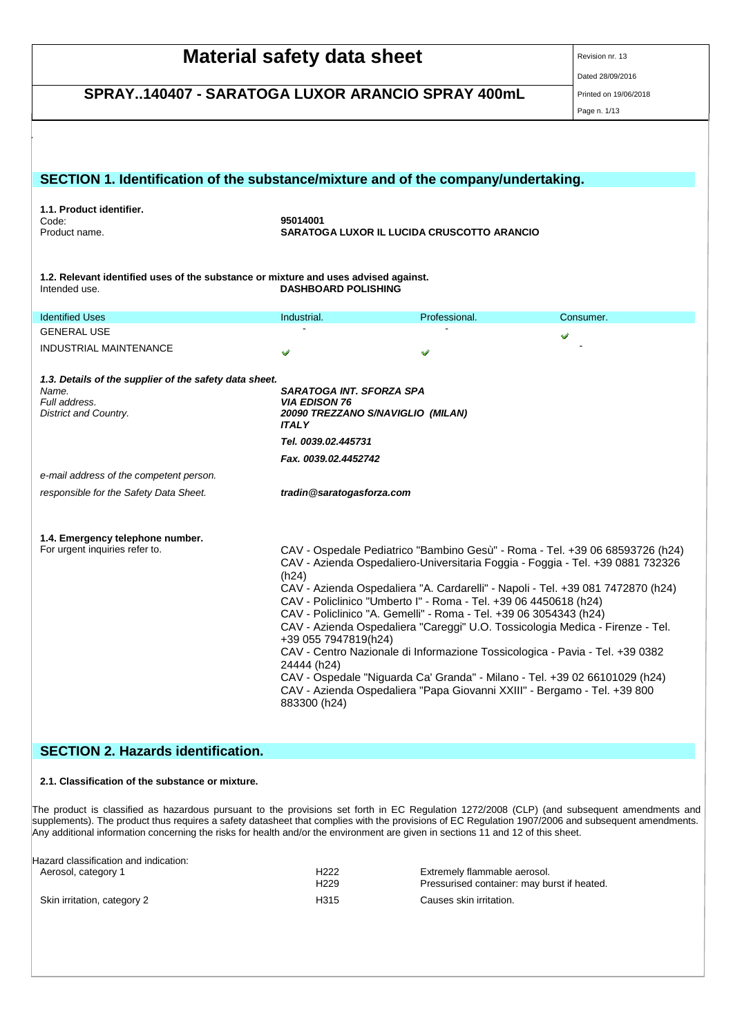| <b>SCHEDA DI DATI DI SICUREZZA</b><br>secondo il Regolamento (CE) Num. 1907/2006 (REACH) |                                                                                           |               |                                                                                |  |  |
|------------------------------------------------------------------------------------------|-------------------------------------------------------------------------------------------|---------------|--------------------------------------------------------------------------------|--|--|
| SARATOGA LUXOR IL LUCIDA CRUSCOTTO ARANCIO                                               |                                                                                           |               |                                                                                |  |  |
| cod.95014001                                                                             |                                                                                           |               | Data di stampa: 19/06/2018                                                     |  |  |
| Versione: 13/IT                                                                          | Pag. 1 di 13                                                                              |               | Data di revisione: 28/09/2016                                                  |  |  |
|                                                                                          |                                                                                           |               |                                                                                |  |  |
|                                                                                          |                                                                                           |               |                                                                                |  |  |
|                                                                                          |                                                                                           |               |                                                                                |  |  |
|                                                                                          |                                                                                           |               |                                                                                |  |  |
| SECTION 1. Identification of the substance/mixture and of the company/undertaking.       |                                                                                           |               |                                                                                |  |  |
|                                                                                          |                                                                                           |               |                                                                                |  |  |
| 1.1. Product identifier.                                                                 | 95014001                                                                                  |               |                                                                                |  |  |
| Code:<br>Product name.                                                                   | SARATOGA LUXOR IL LUCIDA CRUSCOTTO ARANCIO                                                |               |                                                                                |  |  |
|                                                                                          |                                                                                           |               |                                                                                |  |  |
|                                                                                          |                                                                                           |               |                                                                                |  |  |
| 1.2. Relevant identified uses of the substance or mixture and uses advised against.      |                                                                                           |               |                                                                                |  |  |
| Intended use.                                                                            | <b>DASHBOARD POLISHING</b>                                                                |               |                                                                                |  |  |
|                                                                                          |                                                                                           |               |                                                                                |  |  |
| <b>Identified Uses</b>                                                                   | Industrial.                                                                               | Professional. | Consumer.                                                                      |  |  |
| <b>GENERAL USE</b>                                                                       |                                                                                           |               |                                                                                |  |  |
| <b>INDUSTRIAL MAINTENANCE</b>                                                            |                                                                                           |               |                                                                                |  |  |
|                                                                                          |                                                                                           |               |                                                                                |  |  |
| 1.3. Details of the supplier of the safety data sheet.                                   |                                                                                           |               |                                                                                |  |  |
| Name.                                                                                    | SARATOGA INT. SFORZA SPA                                                                  |               |                                                                                |  |  |
| Full address.                                                                            | <b>VIA EDISON 76</b>                                                                      |               |                                                                                |  |  |
| District and Country.                                                                    | 20090 TREZZANO S/NAVIGLIO (MILAN)<br><b>ITALY</b>                                         |               |                                                                                |  |  |
|                                                                                          |                                                                                           |               |                                                                                |  |  |
|                                                                                          | Tel. 0039.02.445731                                                                       |               |                                                                                |  |  |
|                                                                                          | Fax. 0039.02.4452742                                                                      |               |                                                                                |  |  |
| e-mail address of the competent person.                                                  |                                                                                           |               |                                                                                |  |  |
| responsible for the Safety Data Sheet.                                                   | tradin@saratogasforza.com                                                                 |               |                                                                                |  |  |
|                                                                                          |                                                                                           |               |                                                                                |  |  |
|                                                                                          |                                                                                           |               |                                                                                |  |  |
| 1.4. Emergency telephone number.                                                         |                                                                                           |               |                                                                                |  |  |
| For urgent inquiries refer to.                                                           |                                                                                           |               | CAV - Ospedale Pediatrico "Bambino Gesù" - Roma - Tel. +39 06 68593726 (h24)   |  |  |
|                                                                                          |                                                                                           |               | CAV - Azienda Ospedaliero-Universitaria Foggia - Foggia - Tel. +39 0881 732326 |  |  |
|                                                                                          | (h24)<br>CAV - Azienda Ospedaliera "A. Cardarelli" - Napoli - Tel. +39 081 7472870 (h24)  |               |                                                                                |  |  |
|                                                                                          | CAV - Policlinico "Umberto I" - Roma - Tel. +39 06 4450618 (h24)                          |               |                                                                                |  |  |
|                                                                                          | CAV - Policlinico "A. Gemelli" - Roma - Tel. +39 06 3054343 (h24)                         |               |                                                                                |  |  |
|                                                                                          | CAV - Azienda Ospedaliera "Careggi" U.O. Tossicologia Medica - Firenze - Tel.             |               |                                                                                |  |  |
|                                                                                          | +39 055 7947819(h24)                                                                      |               |                                                                                |  |  |
|                                                                                          | CAV - Centro Nazionale di Informazione Tossicologica - Pavia - Tel. +39 0382              |               |                                                                                |  |  |
|                                                                                          | 24444 (h24)<br>CAV - Ospedale "Niguarda Ca' Granda" - Milano - Tel. +39 02 66101029 (h24) |               |                                                                                |  |  |
|                                                                                          | CAV - Azienda Ospedaliera "Papa Giovanni XXIII" - Bergamo - Tel. +39 800                  |               |                                                                                |  |  |
|                                                                                          | 883300 (h24)                                                                              |               |                                                                                |  |  |
|                                                                                          |                                                                                           |               |                                                                                |  |  |
|                                                                                          |                                                                                           |               |                                                                                |  |  |
|                                                                                          |                                                                                           |               |                                                                                |  |  |

# **SECTION 2. Hazards identification.**

## **2.1. Classification of the substance or mixture.**

The product is classified as hazardous pursuant to the provisions set forth in EC Regulation 1272/2008 (CLP) (and subsequent amendments and supplements). The product thus requires a safety datasheet that complies with the provisions of EC Regulation 1907/2006 and subsequent amendments. Any additional information concerning the risks for health and/or the environment are given in sections 11 and 12 of this sheet.

| -lazard classification and indication: | H222             | Extremely flammable aerosol.                |
|----------------------------------------|------------------|---------------------------------------------|
| Aerosol, category 1                    | H <sub>229</sub> | Pressurised container: may burst if heated. |
| Skin irritation, category 2            | H315             | Causes skin irritation.                     |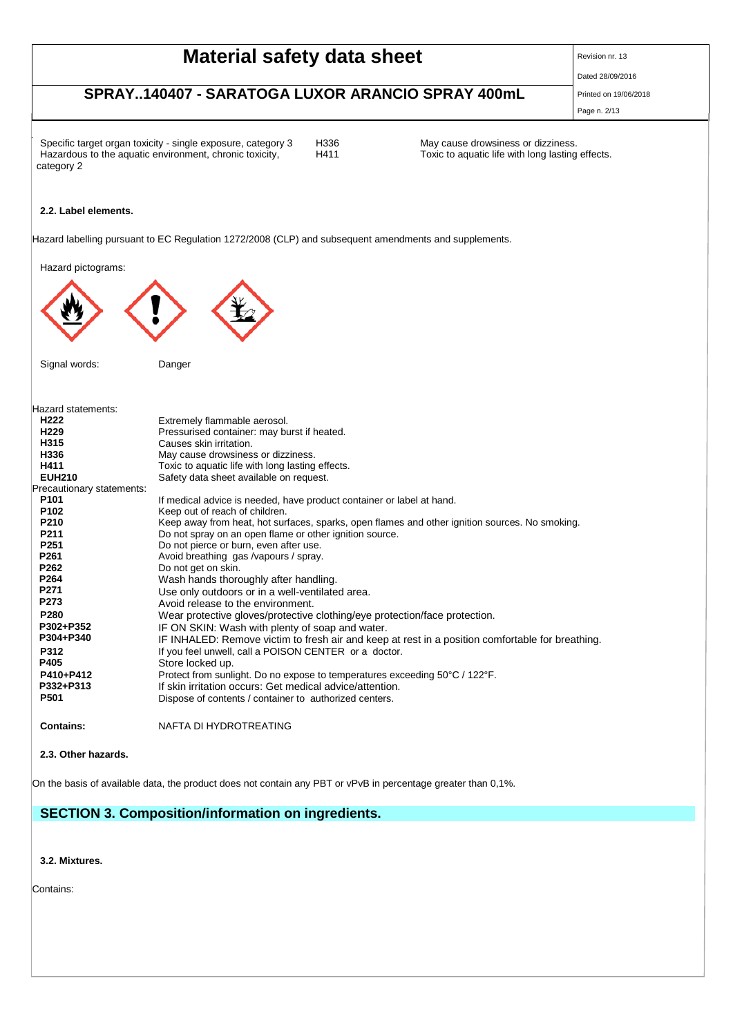| <b>SCHEDA DI DATI DI SICUREZZA</b><br>secondo il Regolamento (CE) Num. 1907/2006 (REACH)                                                                     |              |                                                                                        |  |  |  |
|--------------------------------------------------------------------------------------------------------------------------------------------------------------|--------------|----------------------------------------------------------------------------------------|--|--|--|
| SARATOGA LUXOR IL LUCIDA CRUSCOTTO ARANCIO<br>Data di stampa: 19/06/2018<br>cod.95014001<br>Data di revisione: 28/09/2016<br>Pag. 2 di 13<br>Versione: 13/IT |              |                                                                                        |  |  |  |
| Specific target organ toxicity - single exposure, category 3<br>Hazardous to the aquatic environment, chronic toxicity,                                      | H336<br>H411 | May cause drowsiness or dizziness.<br>Toxic to aquatic life with long lasting effects. |  |  |  |

## **2.2. Label elements.**

category 2

Hazard labelling pursuant to EC Regulation 1272/2008 (CLP) and subsequent amendments and supplements.

Hazard pictograms:



Signal words: Danger

| Hazard statements:        |                                                                                                  |
|---------------------------|--------------------------------------------------------------------------------------------------|
| H <sub>222</sub>          | Extremely flammable aerosol.                                                                     |
| H <sub>229</sub>          | Pressurised container: may burst if heated.                                                      |
| H315                      | Causes skin irritation.                                                                          |
| H336                      | May cause drowsiness or dizziness.                                                               |
| H411                      | Toxic to aguatic life with long lasting effects.                                                 |
| <b>EUH210</b>             | Safety data sheet available on request.                                                          |
| Precautionary statements: |                                                                                                  |
| P <sub>101</sub>          | If medical advice is needed, have product container or label at hand.                            |
| P <sub>102</sub>          | Keep out of reach of children.                                                                   |
| P210                      | Keep away from heat, hot surfaces, sparks, open flames and other ignition sources. No smoking.   |
| P <sub>211</sub>          | Do not spray on an open flame or other ignition source.                                          |
| P <sub>251</sub>          | Do not pierce or burn, even after use.                                                           |
| P <sub>261</sub>          | Avoid breathing gas / vapours / spray.                                                           |
| P262                      | Do not get on skin.                                                                              |
| P264                      | Wash hands thoroughly after handling.                                                            |
| P271                      | Use only outdoors or in a well-ventilated area.                                                  |
| P273                      | Avoid release to the environment.                                                                |
| P280                      | Wear protective gloves/protective clothing/eye protection/face protection.                       |
| P302+P352                 | IF ON SKIN: Wash with plenty of soap and water.                                                  |
| P304+P340                 | IF INHALED: Remove victim to fresh air and keep at rest in a position comfortable for breathing. |
| P312                      | If you feel unwell, call a POISON CENTER or a doctor.                                            |
| P405                      | Store locked up.                                                                                 |
| P410+P412                 | Protect from sunlight. Do no expose to temperatures exceeding 50°C / 122°F.                      |
| P332+P313                 | If skin irritation occurs: Get medical advice/attention.                                         |
| P501                      | Dispose of contents / container to authorized centers.                                           |
|                           |                                                                                                  |
| <b>Contains:</b>          | NAFTA DI HYDROTREATING                                                                           |
|                           |                                                                                                  |

**2.3. Other hazards.**

On the basis of available data, the product does not contain any PBT or vPvB in percentage greater than 0,1%.

# **SECTION 3. Composition/information on ingredients.**

**3.2. Mixtures.**

Contains: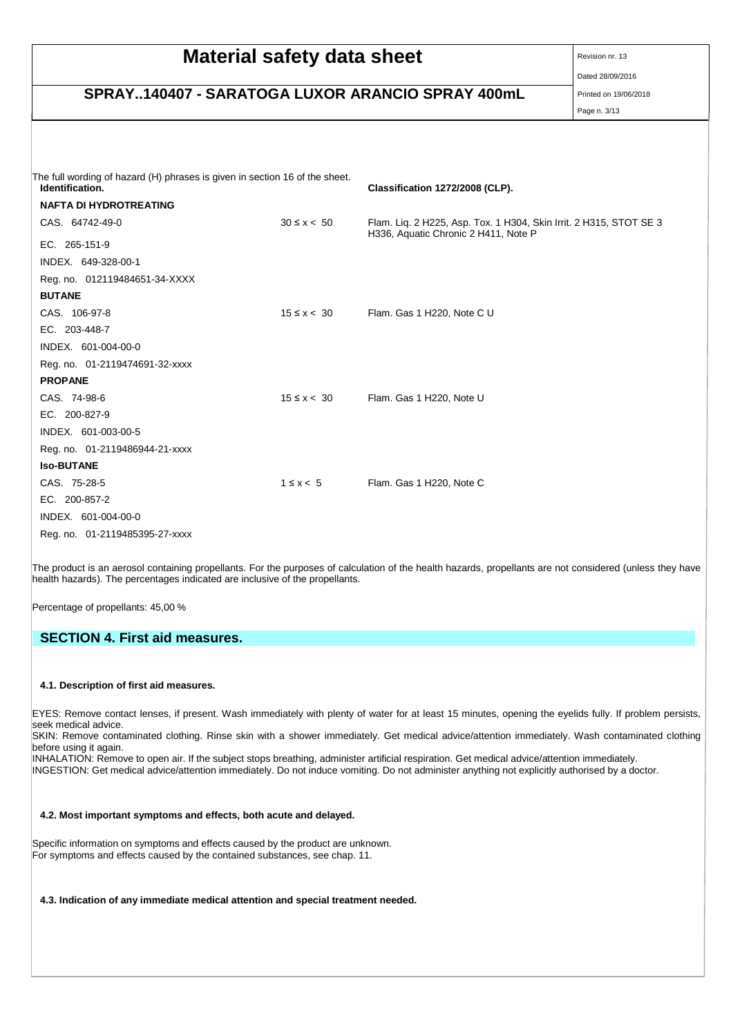| <b>SCHEDA DI DATI DI SICUREZZA</b><br>secondo il Regolamento (CE) Num. 1907/2006 (REACH)       |                   |                                                                                                            |                               |  |  |  |
|------------------------------------------------------------------------------------------------|-------------------|------------------------------------------------------------------------------------------------------------|-------------------------------|--|--|--|
| SARATOGA LUXOR IL LUCIDA CRUSCOTTO ARANCIO<br>Data di stampa: 19/06/2018<br>cod.95014001       |                   |                                                                                                            |                               |  |  |  |
| Versione: 13/IT                                                                                |                   | Pag. 3 di 13                                                                                               | Data di revisione: 28/09/2016 |  |  |  |
|                                                                                                |                   |                                                                                                            |                               |  |  |  |
| The full wording of hazard (H) phrases is given in section 16 of the sheet.<br>Identification. |                   | Classification 1272/2008 (CLP).                                                                            |                               |  |  |  |
| <b>NAFTA DI HYDROTREATING</b>                                                                  |                   |                                                                                                            |                               |  |  |  |
| CAS. 64742-49-0                                                                                | $30 \le x \le 50$ | Flam. Lig. 2 H225, Asp. Tox. 1 H304, Skin Irrit. 2 H315, STOT SE 3<br>H336, Aquatic Chronic 2 H411, Note P |                               |  |  |  |
| EC. 265-151-9                                                                                  |                   |                                                                                                            |                               |  |  |  |
| INDEX. 649-328-00-1                                                                            |                   |                                                                                                            |                               |  |  |  |
| Reg. no. 012119484651-34-XXXX                                                                  |                   |                                                                                                            |                               |  |  |  |
| <b>BUTANE</b>                                                                                  |                   |                                                                                                            |                               |  |  |  |
| CAS. 106-97-8                                                                                  | $15 \le x < 30$   | Flam. Gas 1 H220, Note C U                                                                                 |                               |  |  |  |
| EC. 203-448-7                                                                                  |                   |                                                                                                            |                               |  |  |  |
| INDEX. 601-004-00-0                                                                            |                   |                                                                                                            |                               |  |  |  |
| Reg. no. 01-2119474691-32-xxxx<br><b>PROPANE</b>                                               |                   |                                                                                                            |                               |  |  |  |
| CAS. 74-98-6                                                                                   | $15 \le x < 30$   | Flam. Gas 1 H220, Note U                                                                                   |                               |  |  |  |
| EC. 200-827-9                                                                                  |                   |                                                                                                            |                               |  |  |  |
| INDEX. 601-003-00-5                                                                            |                   |                                                                                                            |                               |  |  |  |
| Reg. no. 01-2119486944-21-xxxx                                                                 |                   |                                                                                                            |                               |  |  |  |
| <b>Iso-BUTANE</b>                                                                              |                   |                                                                                                            |                               |  |  |  |
| CAS. 75-28-5                                                                                   | $1 \leq x \leq 5$ | Flam. Gas 1 H220, Note C                                                                                   |                               |  |  |  |
| EC. 200-857-2                                                                                  |                   |                                                                                                            |                               |  |  |  |
| INDEX. 601-004-00-0                                                                            |                   |                                                                                                            |                               |  |  |  |
| Reg. no. 01-2119485395-27-xxxx                                                                 |                   |                                                                                                            |                               |  |  |  |

The product is an aerosol containing propellants. For the purposes of calculation of the health hazards, propellants are not considered (unless they have health hazards). The percentages indicated are inclusive of the propellants.

Percentage of propellants: 45,00 %

## **SECTION 4. First aid measures.**

#### **4.1. Description of first aid measures.**

EYES: Remove contact lenses, if present. Wash immediately with plenty of water for at least 15 minutes, opening the eyelids fully. If problem persists, seek medical advice.

SKIN: Remove contaminated clothing. Rinse skin with a shower immediately. Get medical advice/attention immediately. Wash contaminated clothing before using it again.

INHALATION: Remove to open air. If the subject stops breathing, administer artificial respiration. Get medical advice/attention immediately. INGESTION: Get medical advice/attention immediately. Do not induce vomiting. Do not administer anything not explicitly authorised by a doctor.

## **4.2. Most important symptoms and effects, both acute and delayed.**

Specific information on symptoms and effects caused by the product are unknown. For symptoms and effects caused by the contained substances, see chap. 11.

### **4.3. Indication of any immediate medical attention and special treatment needed.**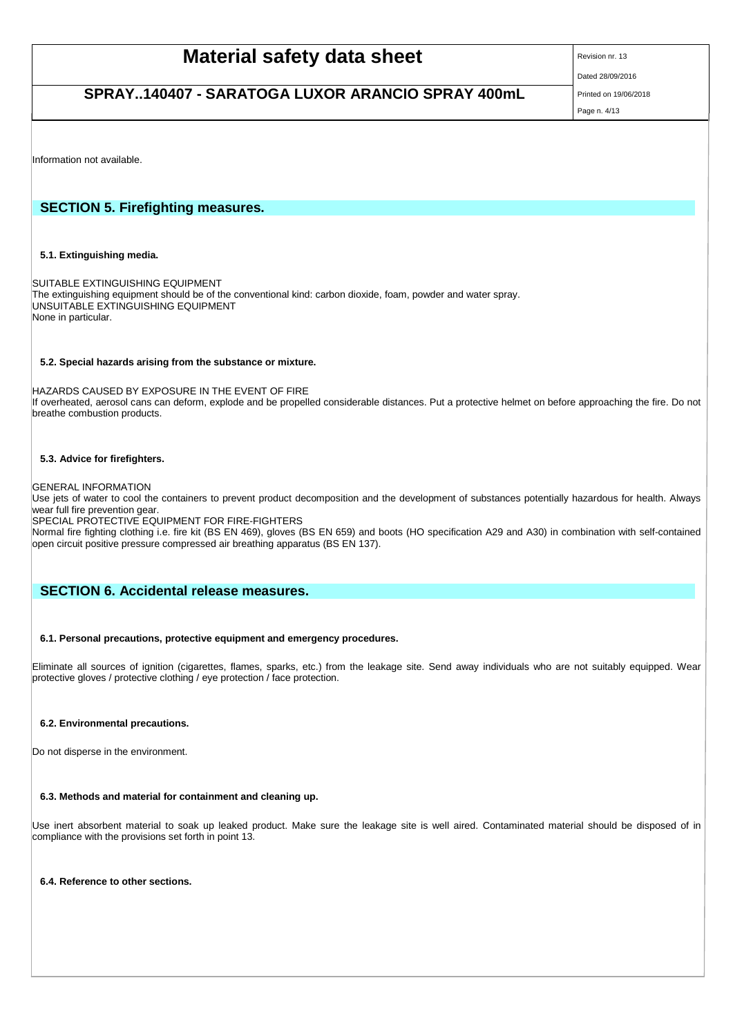SARATOGA LUXOR IL LUCIDA CRUSCOTTO ARANCIO cod.95014001

Versione: 13/ IT Pag. 4 di 13

 Data di stampa: 19/06/2018 Data di revisione: 28/09/2016

Information not available.

## **SECTION 5. Firefighting measures.**

**5.1. Extinguishing media.**

SUITABLE EXTINGUISHING EQUIPMENT The extinguishing equipment should be of the conventional kind: carbon dioxide, foam, powder and water spray. UNSUITABLE EXTINGUISHING EQUIPMENT None in particular.

## **5.2. Special hazards arising from the substance or mixture.**

HAZARDS CAUSED BY EXPOSURE IN THE EVENT OF FIRE If overheated, aerosol cans can deform, explode and be propelled considerable distances. Put a protective helmet on before approaching the fire. Do not breathe combustion products.

## **5.3. Advice for firefighters.**

GENERAL INFORMATION

Use jets of water to cool the containers to prevent product decomposition and the development of substances potentially hazardous for health. Always wear full fire prevention gear.

SPECIAL PROTECTIVE EQUIPMENT FOR FIRE-FIGHTERS

Normal fire fighting clothing i.e. fire kit (BS EN 469), gloves (BS EN 659) and boots (HO specification A29 and A30) in combination with self-contained open circuit positive pressure compressed air breathing apparatus (BS EN 137).

## **SECTION 6. Accidental release measures.**

## **6.1. Personal precautions, protective equipment and emergency procedures.**

Eliminate all sources of ignition (cigarettes, flames, sparks, etc.) from the leakage site. Send away individuals who are not suitably equipped. Wear protective gloves / protective clothing / eye protection / face protection.

#### **6.2. Environmental precautions.**

Do not disperse in the environment.

## **6.3. Methods and material for containment and cleaning up.**

Use inert absorbent material to soak up leaked product. Make sure the leakage site is well aired. Contaminated material should be disposed of in compliance with the provisions set forth in point 13.

## **6.4. Reference to other sections.**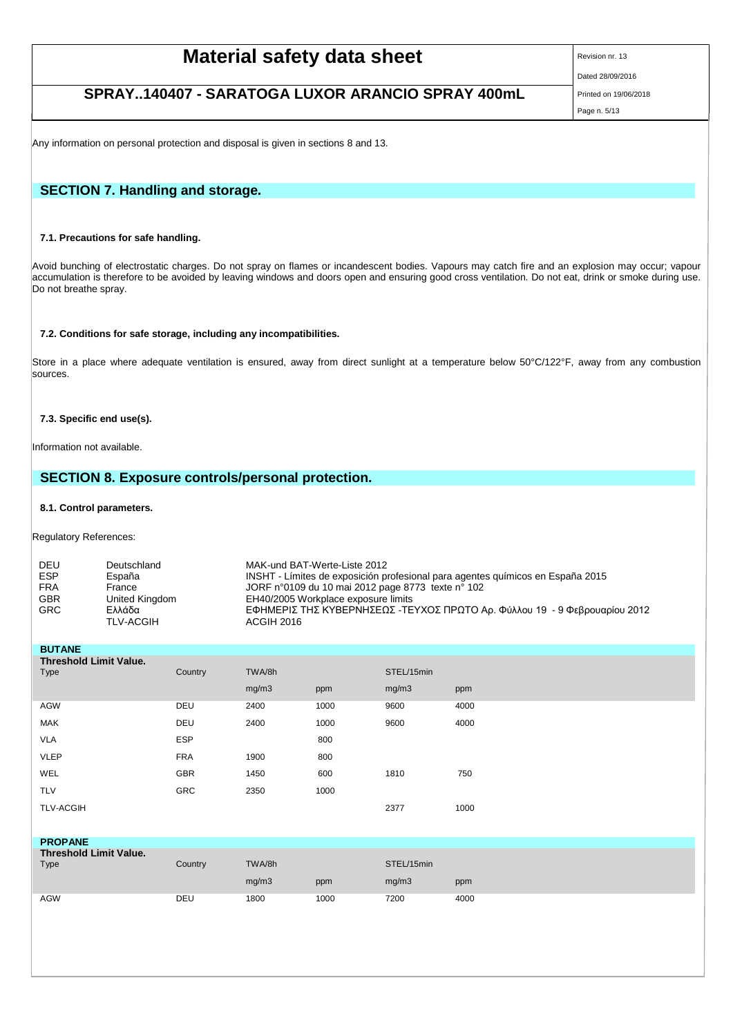|                                                                               | <b>SCHEDA DI DATI DI SICUREZZA</b><br>secondo il Regolamento (CE) Num. 1907/2006 (REACH) |                                                             |
|-------------------------------------------------------------------------------|------------------------------------------------------------------------------------------|-------------------------------------------------------------|
| SARATOGA LUXOR IL LUCIDA CRUSCOTTO ARANCIO<br>cod.95014001<br>Versione: 13/IT | Pag. 5 di 13                                                                             | Data di stampa: 19/06/2018<br>Data di revisione: 28/09/2016 |

Any information on personal protection and disposal is given in sections 8 and 13.

## **SECTION 7. Handling and storage.**

## **7.1. Precautions for safe handling.**

Avoid bunching of electrostatic charges. Do not spray on flames or incandescent bodies. Vapours may catch fire and an explosion may occur; vapour accumulation is therefore to be avoided by leaving windows and doors open and ensuring good cross ventilation. Do not eat, drink or smoke during use. Do not breathe spray.

#### **7.2. Conditions for safe storage, including any incompatibilities.**

Store in a place where adequate ventilation is ensured, away from direct sunlight at a temperature below 50°C/122°F, away from any combustion sources.

## **7.3. Specific end use(s).**

Information not available.

## **SECTION 8. Exposure controls/personal protection.**

## **8.1. Control parameters.**

Regulatory References:

| ΕΦΗΜΕΡΙΣ ΤΗΣ ΚΥΒΕΡΝΗΣΕΩΣ -ΤΕΥΧΟΣ ΠΡΩΤΟ Αρ. Φύλλου 19 - 9 Φεβρουαρίου 2012 |
|---------------------------------------------------------------------------|
|                                                                           |
|                                                                           |

| <b>BUTANE</b>                 |            |        |      |            |      |
|-------------------------------|------------|--------|------|------------|------|
| <b>Threshold Limit Value.</b> |            |        |      |            |      |
| Type                          | Country    | TWA/8h |      | STEL/15min |      |
|                               |            | mg/m3  | ppm  | mg/m3      | ppm  |
| <b>AGW</b>                    | DEU        | 2400   | 1000 | 9600       | 4000 |
| <b>MAK</b>                    | DEU        | 2400   | 1000 | 9600       | 4000 |
| <b>VLA</b>                    | <b>ESP</b> |        | 800  |            |      |
| <b>VLEP</b>                   | <b>FRA</b> | 1900   | 800  |            |      |
| WEL                           | GBR        | 1450   | 600  | 1810       | 750  |
| <b>TLV</b>                    | <b>GRC</b> | 2350   | 1000 |            |      |
| <b>TLV-ACGIH</b>              |            |        |      | 2377       | 1000 |
|                               |            |        |      |            |      |
| <b>PROPANE</b>                |            |        |      |            |      |
| <b>Threshold Limit Value.</b> |            |        |      |            |      |
| Type                          | Country    | TWA/8h |      | STEL/15min |      |
|                               |            | mg/m3  | ppm  | mg/m3      | ppm  |
| <b>AGW</b>                    | DEU        | 1800   | 1000 | 7200       | 4000 |
|                               |            |        |      |            |      |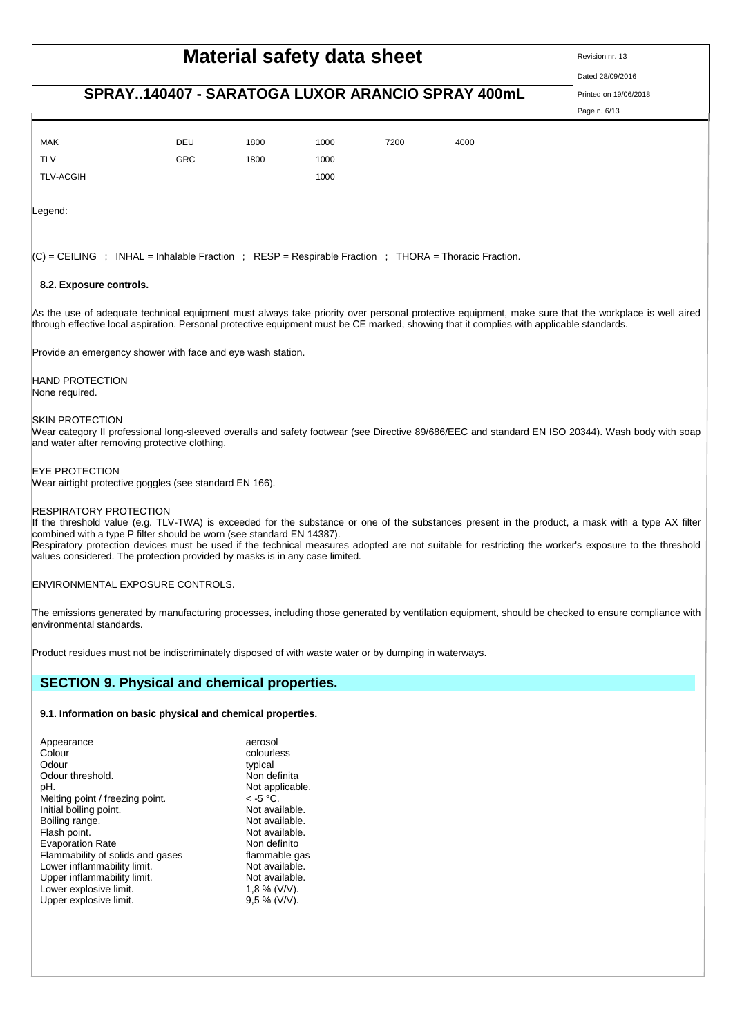| <b>SCHEDA DI DATI DI SICUREZZA</b><br>secondo il Regolamento (CE) Num. 1907/2006 (REACH) |            |      |      |              |      |                               |
|------------------------------------------------------------------------------------------|------------|------|------|--------------|------|-------------------------------|
| SARATOGA LUXOR IL LUCIDA CRUSCOTTO ARANCIO<br>cod.95014001                               |            |      |      |              |      | Data di stampa: 19/06/2018    |
| Versione: 13/IT                                                                          |            |      |      | Pag. 6 di 13 |      | Data di revisione: 28/09/2016 |
|                                                                                          |            |      |      |              |      |                               |
| <b>MAK</b>                                                                               | DEU        | 1800 | 1000 | 7200         | 4000 |                               |
| <b>TLV</b>                                                                               | <b>GRC</b> | 1800 | 1000 |              |      |                               |
| <b>TLV-ACGIH</b>                                                                         |            |      | 1000 |              |      |                               |

Legend:

 $|C|$  = CEILING ; INHAL = Inhalable Fraction ; RESP = Respirable Fraction ; THORA = Thoracic Fraction.

## **8.2. Exposure controls.**

As the use of adequate technical equipment must always take priority over personal protective equipment, make sure that the workplace is well aired through effective local aspiration. Personal protective equipment must be CE marked, showing that it complies with applicable standards.

Provide an emergency shower with face and eye wash station.

HAND PROTECTION None required.

#### SKIN PROTECTION

Wear category II professional long-sleeved overalls and safety footwear (see Directive 89/686/EEC and standard EN ISO 20344). Wash body with soap and water after removing protective clothing.

#### EYE PROTECTION

Wear airtight protective goggles (see standard EN 166).

#### RESPIRATORY PROTECTION

If the threshold value (e.g. TLV-TWA) is exceeded for the substance or one of the substances present in the product, a mask with a type AX filter combined with a type P filter should be worn (see standard EN 14387). Respiratory protection devices must be used if the technical measures adopted are not suitable for restricting the worker's exposure to the threshold

values considered. The protection provided by masks is in any case limited.

ENVIRONMENTAL EXPOSURE CONTROLS.

The emissions generated by manufacturing processes, including those generated by ventilation equipment, should be checked to ensure compliance with environmental standards.

Product residues must not be indiscriminately disposed of with waste water or by dumping in waterways.

## **SECTION 9. Physical and chemical properties.**

#### **9.1. Information on basic physical and chemical properties.**

| pH.                              | Not applicable. |
|----------------------------------|-----------------|
| Melting point / freezing point.  | $\le$ -5 °C.    |
| Initial boiling point.           | Not available.  |
| Boiling range.                   | Not available.  |
| Flash point.                     | Not available.  |
| <b>Evaporation Rate</b>          | Non definito    |
| Flammability of solids and gases | flammable gas   |
| Lower inflammability limit.      | Not available.  |
| Upper inflammability limit.      | Not available.  |
| Lower explosive limit.           | $1.8\%$ (V/V).  |
| Upper explosive limit.           | $9.5\%$ (V/V).  |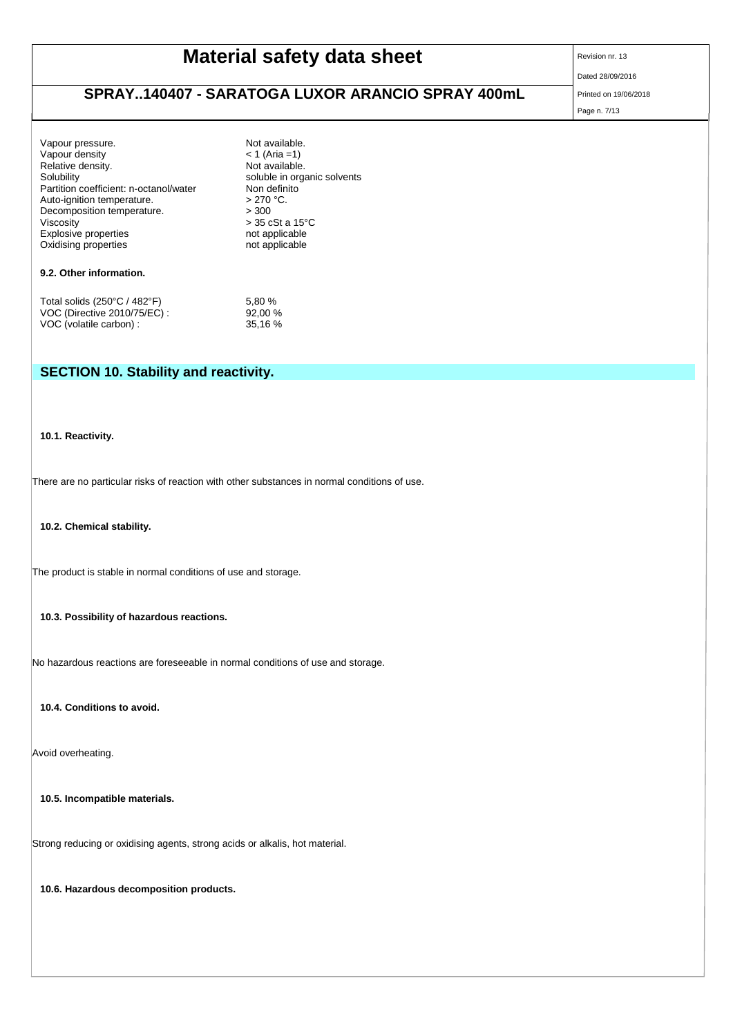| <b>SCHEDA DI DATI DI SICUREZZA</b>                                                                                                                                                                                                       |                                                                                                                                                                                                |                                                             |  |  |  |
|------------------------------------------------------------------------------------------------------------------------------------------------------------------------------------------------------------------------------------------|------------------------------------------------------------------------------------------------------------------------------------------------------------------------------------------------|-------------------------------------------------------------|--|--|--|
| SARATOGA LUXOR IL LUCIDA CRUSCOTTO ARANCIO                                                                                                                                                                                               | secondo il Regolamento (CE) Num. 1907/2006 (REACH)                                                                                                                                             |                                                             |  |  |  |
| cod.95014001<br>Versione: 13/IT                                                                                                                                                                                                          | Pag. 7 di 13                                                                                                                                                                                   | Data di stampa: 19/06/2018<br>Data di revisione: 28/09/2016 |  |  |  |
|                                                                                                                                                                                                                                          |                                                                                                                                                                                                |                                                             |  |  |  |
| Vapour pressure.<br>Vapour density<br>Relative density.<br>Solubility<br>Partition coefficient: n-octanol/water<br>Auto-ignition temperature.<br>Decomposition temperature.<br>Viscosity<br>Explosive properties<br>Oxidising properties | Not available.<br>$< 1$ (Aria =1)<br>Not available.<br>soluble in organic solvents<br>Non definito<br>$> 270$ °C.<br>> 300<br>$>$ 35 cSt a 15 $^{\circ}$ C<br>not applicable<br>not applicable |                                                             |  |  |  |
| 9.2. Other information.                                                                                                                                                                                                                  |                                                                                                                                                                                                |                                                             |  |  |  |
| Total solids (250°C / 482°F)<br>VOC (Directive 2010/75/EC) :<br>VOC (volatile carbon) :                                                                                                                                                  | 5,80 %<br>92,00 %<br>35,16 %                                                                                                                                                                   |                                                             |  |  |  |
|                                                                                                                                                                                                                                          |                                                                                                                                                                                                |                                                             |  |  |  |
| <b>SECTION 10. Stability and reactivity.</b>                                                                                                                                                                                             |                                                                                                                                                                                                |                                                             |  |  |  |
|                                                                                                                                                                                                                                          |                                                                                                                                                                                                |                                                             |  |  |  |
| 10.1. Reactivity.                                                                                                                                                                                                                        |                                                                                                                                                                                                |                                                             |  |  |  |
|                                                                                                                                                                                                                                          |                                                                                                                                                                                                |                                                             |  |  |  |
| There are no particular risks of reaction with other substances in normal conditions of use.                                                                                                                                             |                                                                                                                                                                                                |                                                             |  |  |  |
|                                                                                                                                                                                                                                          |                                                                                                                                                                                                |                                                             |  |  |  |
| 10.2. Chemical stability.                                                                                                                                                                                                                |                                                                                                                                                                                                |                                                             |  |  |  |
|                                                                                                                                                                                                                                          |                                                                                                                                                                                                |                                                             |  |  |  |
| The product is stable in normal conditions of use and storage.                                                                                                                                                                           |                                                                                                                                                                                                |                                                             |  |  |  |
| 10.3. Possibility of hazardous reactions.                                                                                                                                                                                                |                                                                                                                                                                                                |                                                             |  |  |  |
|                                                                                                                                                                                                                                          |                                                                                                                                                                                                |                                                             |  |  |  |
| No hazardous reactions are foreseeable in normal conditions of use and storage.                                                                                                                                                          |                                                                                                                                                                                                |                                                             |  |  |  |
|                                                                                                                                                                                                                                          |                                                                                                                                                                                                |                                                             |  |  |  |
| 10.4. Conditions to avoid.                                                                                                                                                                                                               |                                                                                                                                                                                                |                                                             |  |  |  |
| Avoid overheating.                                                                                                                                                                                                                       |                                                                                                                                                                                                |                                                             |  |  |  |
| 10.5. Incompatible materials.                                                                                                                                                                                                            |                                                                                                                                                                                                |                                                             |  |  |  |

Strong reducing or oxidising agents, strong acids or alkalis, hot material.

**10.6. Hazardous decomposition products.**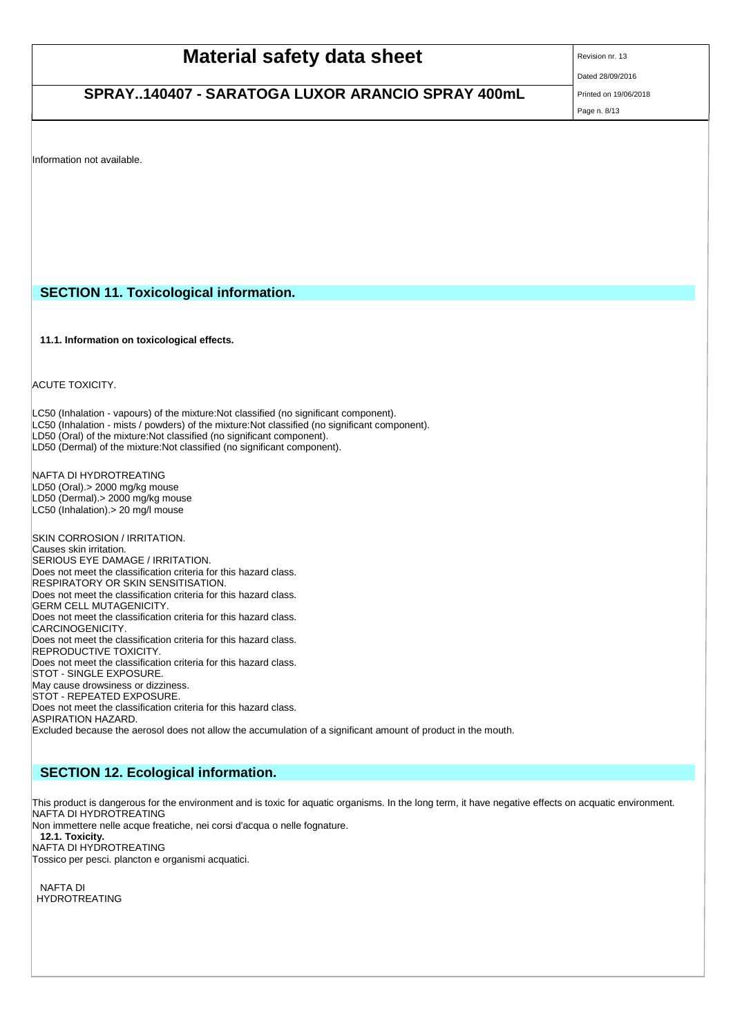#### SARATOGA LUXOR IL LUCIDA CRUSCOTTO ARANCIO cod.95014001

Versione: 13/ IT Pag. 8 di 13

 Data di stampa: 19/06/2018 Data di revisione: 28/09/2016

Information not available.

## **SECTION 11. Toxicological information.**

**11.1. Information on toxicological effects.**

ACUTE TOXICITY.

LC50 (Inhalation - vapours) of the mixture:Not classified (no significant component). LC50 (Inhalation - mists / powders) of the mixture:Not classified (no significant component). LD50 (Oral) of the mixture:Not classified (no significant component). LD50 (Dermal) of the mixture:Not classified (no significant component).

NAFTA DI HYDROTREATING LD50 (Oral).> 2000 mg/kg mouse LD50 (Dermal) > 2000 mg/kg mouse LC50 (Inhalation).> 20 mg/l mouse

SKIN CORROSION / IRRITATION. Causes skin irritation. SERIOUS EYE DAMAGE / IRRITATION. Does not meet the classification criteria for this hazard class. RESPIRATORY OR SKIN SENSITISATION. Does not meet the classification criteria for this hazard class. GERM CELL MUTAGENICITY. Does not meet the classification criteria for this hazard class. CARCINOGENICITY. Does not meet the classification criteria for this hazard class. REPRODUCTIVE TOXICITY. Does not meet the classification criteria for this hazard class. STOT - SINGLE EXPOSURE. May cause drowsiness or dizziness. STOT - REPEATED EXPOSURE. Does not meet the classification criteria for this hazard class. ASPIRATION HAZARD. Excluded because the aerosol does not allow the accumulation of a significant amount of product in the mouth.

## **SECTION 12. Ecological information.**

This product is dangerous for the environment and is toxic for aquatic organisms. In the long term, it have negative effects on acquatic environment. NAFTA DI HYDROTREATING

Non immettere nelle acque freatiche, nei corsi d'acqua o nelle fognature.

**12.1. Toxicity.** NAFTA DI HYDROTREATING

Tossico per pesci. plancton e organismi acquatici.

NAFTA DI HYDROTREATING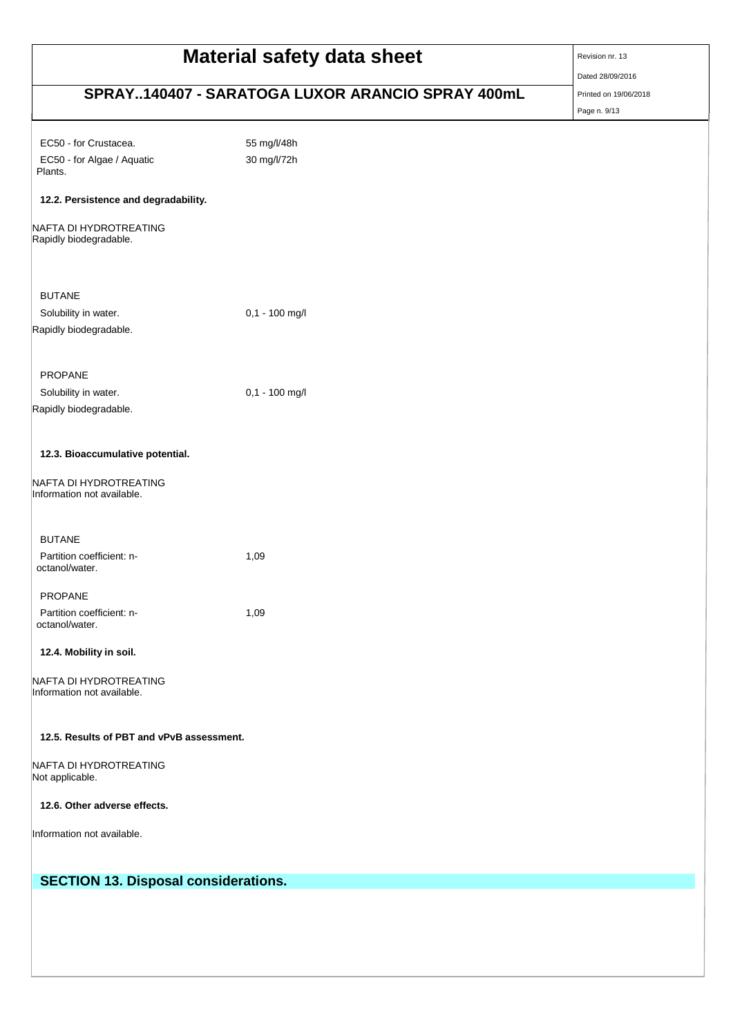| <b>SCHEDA DI DATI DI SICUREZZA</b><br>secondo il Regolamento (CE) Num. 1907/2006 (REACH) |                                                             |  |  |  |
|------------------------------------------------------------------------------------------|-------------------------------------------------------------|--|--|--|
| SARATOGA LUXOR IL LUCIDA CRUSCOTTO ARANCIO<br>cod.95014001<br>Versione: 13/IT            | Data di stampa: 19/06/2018<br>Data di revisione: 28/09/2016 |  |  |  |
|                                                                                          |                                                             |  |  |  |
| EC50 - for Crustacea.                                                                    | 55 mg/l/48h                                                 |  |  |  |
| EC50 - for Algae / Aquatic<br>Plants.                                                    | 30 mg/l/72h                                                 |  |  |  |
| 12.2. Persistence and degradability.                                                     |                                                             |  |  |  |
| NAFTA DI HYDROTREATING<br>Rapidly biodegradable.                                         |                                                             |  |  |  |
| <b>BUTANE</b>                                                                            |                                                             |  |  |  |
| Solubility in water.                                                                     | 0,1 - 100 mg/l                                              |  |  |  |
| Rapidly biodegradable.                                                                   |                                                             |  |  |  |
| PROPANE                                                                                  |                                                             |  |  |  |
| Solubility in water.                                                                     | 0,1 - 100 mg/l                                              |  |  |  |
| Rapidly biodegradable.                                                                   |                                                             |  |  |  |
| 12.3. Bioaccumulative potential.<br>NAFTA DI HYDROTREATING<br>Information not available. |                                                             |  |  |  |
|                                                                                          |                                                             |  |  |  |
| <b>BUTANE</b>                                                                            |                                                             |  |  |  |
| Partition coefficient: n-<br>octanol/water.                                              | 1,09                                                        |  |  |  |
| <b>PROPANE</b>                                                                           |                                                             |  |  |  |
| Partition coefficient: n-<br>octanol/water.                                              | 1,09                                                        |  |  |  |
| 12.4. Mobility in soil.                                                                  |                                                             |  |  |  |
| NAFTA DI HYDROTREATING<br>Information not available.                                     |                                                             |  |  |  |
| 12.5. Results of PBT and vPvB assessment.                                                |                                                             |  |  |  |
| NAFTA DI HYDROTREATING<br>Not applicable.                                                |                                                             |  |  |  |
| 12.6. Other adverse effects.                                                             |                                                             |  |  |  |
| Information not available.                                                               |                                                             |  |  |  |
| <b>SECTION 13. Disposal considerations.</b>                                              |                                                             |  |  |  |
|                                                                                          |                                                             |  |  |  |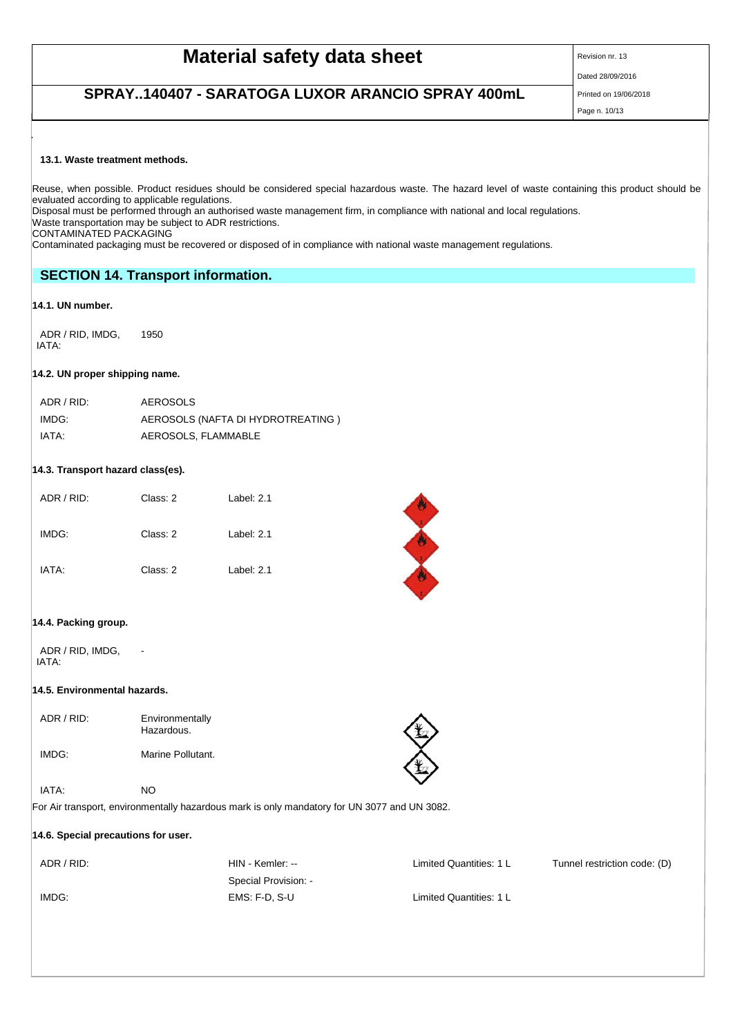SARATOGA LUXOR IL LUCIDA CRUSCOTTO ARANCIO cod.95014001

Versione: 13/ IT Pag. 10 di 13

 Data di stampa: 19/06/2018 Data di revisione: 28/09/2016

## **13.1. Waste treatment methods.**

Reuse, when possible. Product residues should be considered special hazardous waste. The hazard level of waste containing this product should be evaluated according to applicable regulations.

Disposal must be performed through an authorised waste management firm, in compliance with national and local regulations. Waste transportation may be subject to ADR restrictions.

CONTAMINATED PACKAGING

Contaminated packaging must be recovered or disposed of in compliance with national waste management regulations.

## **SECTION 14. Transport information.**

## **14.1. UN number.**

ADR / RID, IMDG, IATA: 1950

## **14.2. UN proper shipping name.**

| ADR / RID: | AEROSOLS                          |
|------------|-----------------------------------|
| IMDG:      | AEROSOLS (NAFTA DI HYDROTREATING) |
| IATA:      | AEROSOLS, FLAMMABLE               |

## **14.3. Transport hazard class(es).**

| ADR / RID: | Class: 2 | Label: $2.1$ |
|------------|----------|--------------|
| IMDG:      | Class: 2 | Label: $2.1$ |
| IATA:      | Class: 2 | Label: $2.1$ |



## **14.4. Packing group.**

ADR / RID, IMDG, IATA:

#### **14.5. Environmental hazards.**

-

| ADR / RID: | Environmentally<br>Hazardous. |  |
|------------|-------------------------------|--|
| IMDG:      | Marine Pollutant.             |  |

## IATA: NO

For Air transport, environmentally hazardous mark is only mandatory for UN 3077 and UN 3082.

#### **14.6. Special precautions for user.**

Special Provision: - IMDG: EMS: F-D, S-U Limited Quantities: 1 L

ADR / RID: Tunnel restriction code: (D) HIN - Kemler: -- Limited Quantities: 1 L Tunnel restriction code: (D)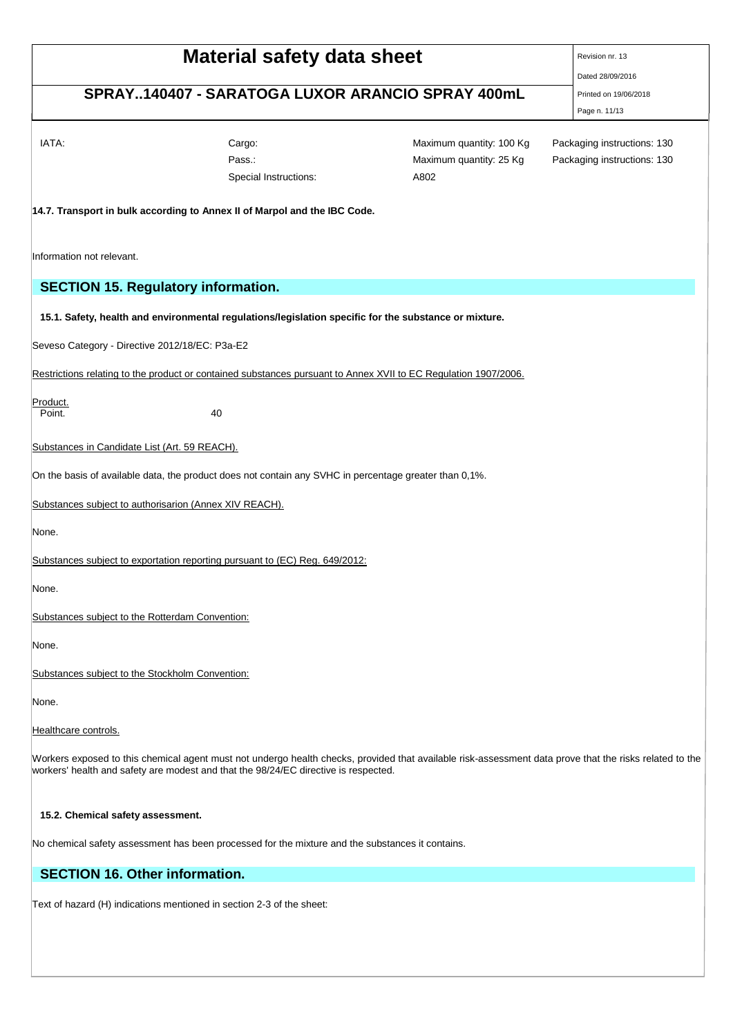|                                                            |                                                                                                        | <b>SCHEDA DI DATI DI SICUREZZA</b><br>secondo il Regolamento (CE) Num. 1907/2006 (REACH)                                                                |                               |
|------------------------------------------------------------|--------------------------------------------------------------------------------------------------------|---------------------------------------------------------------------------------------------------------------------------------------------------------|-------------------------------|
| SARATOGA LUXOR IL LUCIDA CRUSCOTTO ARANCIO<br>cod.95014001 |                                                                                                        |                                                                                                                                                         | Data di stampa: 19/06/2018    |
| Versione: 13/IT                                            |                                                                                                        | Pag. 11 di 13                                                                                                                                           | Data di revisione: 28/09/2016 |
|                                                            |                                                                                                        |                                                                                                                                                         |                               |
| IATA:                                                      | Cargo:                                                                                                 | Maximum quantity: 100 Kg                                                                                                                                | Packaging instructions: 130   |
|                                                            | Pass.:                                                                                                 | Maximum quantity: 25 Kg                                                                                                                                 | Packaging instructions: 130   |
|                                                            | Special Instructions:                                                                                  | A802                                                                                                                                                    |                               |
|                                                            | 14.7. Transport in bulk according to Annex II of Marpol and the IBC Code.                              |                                                                                                                                                         |                               |
| Information not relevant.                                  |                                                                                                        |                                                                                                                                                         |                               |
| <b>SECTION 15. Regulatory information.</b>                 |                                                                                                        |                                                                                                                                                         |                               |
|                                                            | 15.1. Safety, health and environmental regulations/legislation specific for the substance or mixture.  |                                                                                                                                                         |                               |
| Seveso Category - Directive 2012/18/EC: P3a-E2             |                                                                                                        |                                                                                                                                                         |                               |
|                                                            |                                                                                                        | Restrictions relating to the product or contained substances pursuant to Annex XVII to EC Regulation 1907/2006.                                         |                               |
| Product.                                                   |                                                                                                        |                                                                                                                                                         |                               |
| Point.                                                     | 40                                                                                                     |                                                                                                                                                         |                               |
| Substances in Candidate List (Art. 59 REACH).              |                                                                                                        |                                                                                                                                                         |                               |
|                                                            | On the basis of available data, the product does not contain any SVHC in percentage greater than 0,1%. |                                                                                                                                                         |                               |
| Substances subject to authorisarion (Annex XIV REACH).     |                                                                                                        |                                                                                                                                                         |                               |
| None.                                                      |                                                                                                        |                                                                                                                                                         |                               |
|                                                            | Substances subject to exportation reporting pursuant to (EC) Reg. 649/2012:                            |                                                                                                                                                         |                               |
| None.                                                      |                                                                                                        |                                                                                                                                                         |                               |
| Substances subject to the Rotterdam Convention:            |                                                                                                        |                                                                                                                                                         |                               |
| None.                                                      |                                                                                                        |                                                                                                                                                         |                               |
| Substances subject to the Stockholm Convention:            |                                                                                                        |                                                                                                                                                         |                               |
| None.                                                      |                                                                                                        |                                                                                                                                                         |                               |
| Healthcare controls.                                       |                                                                                                        |                                                                                                                                                         |                               |
|                                                            | workers' health and safety are modest and that the 98/24/EC directive is respected.                    | Workers exposed to this chemical agent must not undergo health checks, provided that available risk-assessment data prove that the risks related to the |                               |
|                                                            |                                                                                                        |                                                                                                                                                         |                               |

## **15.2. Chemical safety assessment.**

No chemical safety assessment has been processed for the mixture and the substances it contains.

# **SECTION 16. Other information.**

Text of hazard (H) indications mentioned in section 2-3 of the sheet: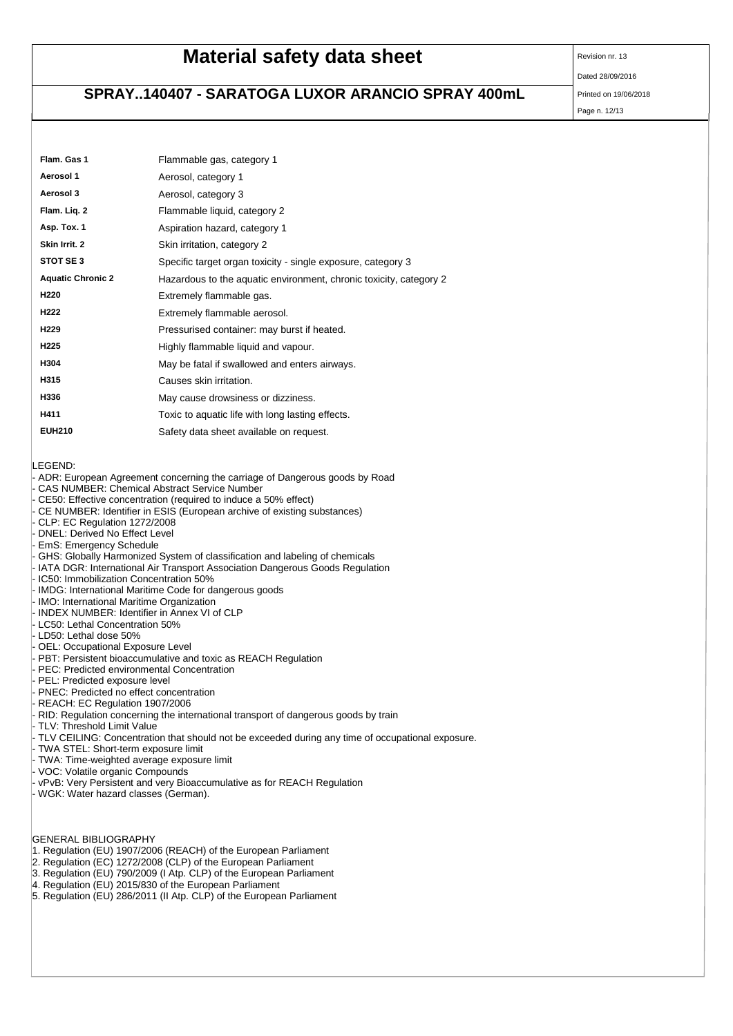#### SARATOGA LUXOR IL LUCIDA CRUSCOTTO ARANCIO cod.95014001

Versione: 13/ IT Pag. 12 di 13

 Data di stampa: 19/06/2018 Data di revisione: 28/09/2016

| Flam. Gas 1              | Flammable gas, category 1                                          |
|--------------------------|--------------------------------------------------------------------|
| Aerosol 1                | Aerosol, category 1                                                |
| Aerosol 3                | Aerosol, category 3                                                |
| Flam. Lig. 2             | Flammable liquid, category 2                                       |
| Asp. Tox. 1              | Aspiration hazard, category 1                                      |
| Skin Irrit. 2            | Skin irritation, category 2                                        |
| STOT SE3                 | Specific target organ toxicity - single exposure, category 3       |
| <b>Aquatic Chronic 2</b> | Hazardous to the aquatic environment, chronic toxicity, category 2 |
| H <sub>220</sub>         | Extremely flammable gas.                                           |
| H <sub>222</sub>         | Extremely flammable aerosol.                                       |
| H <sub>229</sub>         | Pressurised container: may burst if heated.                        |
| H <sub>225</sub>         | Highly flammable liquid and vapour.                                |
| H304                     | May be fatal if swallowed and enters airways.                      |
| H315                     | Causes skin irritation.                                            |
| H336                     | May cause drowsiness or dizziness.                                 |
| H411                     | Toxic to aguatic life with long lasting effects.                   |
| <b>EUH210</b>            | Safety data sheet available on request.                            |

LEGEND:

- ADR: European Agreement concerning the carriage of Dangerous goods by Road
- CAS NUMBER: Chemical Abstract Service Number
- CE50: Effective concentration (required to induce a 50% effect)
- CE NUMBER: Identifier in ESIS (European archive of existing substances)
- CLP: EC Regulation 1272/2008
- DNEL: Derived No Effect Level
- EmS: Emergency Schedule
- GHS: Globally Harmonized System of classification and labeling of chemicals
- IATA DGR: International Air Transport Association Dangerous Goods Regulation
- IC50: Immobilization Concentration 50%
- IMDG: International Maritime Code for dangerous goods
- IMO: International Maritime Organization
- INDEX NUMBER: Identifier in Annex VI of CLP
- LC50: Lethal Concentration 50%
- LD50: Lethal dose 50%
- OEL: Occupational Exposure Level
- PBT: Persistent bioaccumulative and toxic as REACH Regulation
- PEC: Predicted environmental Concentration
- PEL: Predicted exposure level
- PNEC: Predicted no effect concentration
- REACH: EC Regulation 1907/2006
- RID: Regulation concerning the international transport of dangerous goods by train
- TLV: Threshold Limit Value
- TLV CEILING: Concentration that should not be exceeded during any time of occupational exposure.
- TWA STEL: Short-term exposure limit
- TWA: Time-weighted average exposure limit
- VOC: Volatile organic Compounds
- vPvB: Very Persistent and very Bioaccumulative as for REACH Regulation
- WGK: Water hazard classes (German).

GENERAL BIBLIOGRAPHY

- 1. Regulation (EU) 1907/2006 (REACH) of the European Parliament
- 2. Regulation (EC) 1272/2008 (CLP) of the European Parliament
- 3. Regulation (EU) 790/2009 (I Atp. CLP) of the European Parliament
- 4. Regulation (EU) 2015/830 of the European Parliament
- 5. Regulation (EU) 286/2011 (II Atp. CLP) of the European Parliament